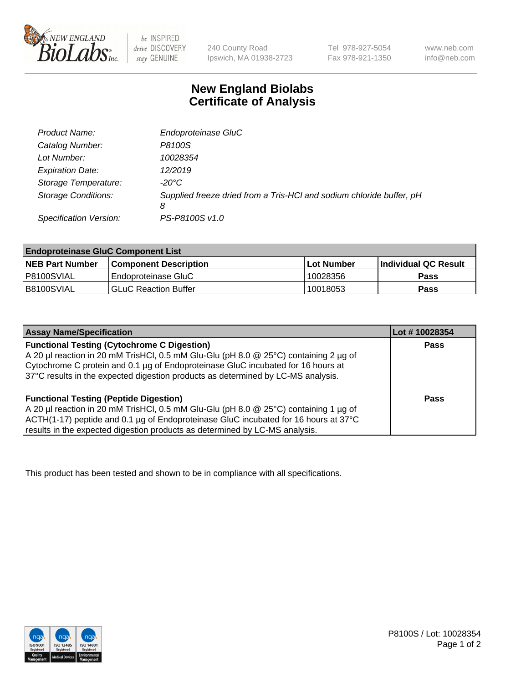

 $be$  INSPIRED drive DISCOVERY stay GENUINE

240 County Road Ipswich, MA 01938-2723 Tel 978-927-5054 Fax 978-921-1350 www.neb.com info@neb.com

## **New England Biolabs Certificate of Analysis**

| Product Name:              | Endoproteinase GluC                                                       |
|----------------------------|---------------------------------------------------------------------------|
| Catalog Number:            | P8100S                                                                    |
| Lot Number:                | 10028354                                                                  |
| <b>Expiration Date:</b>    | 12/2019                                                                   |
| Storage Temperature:       | $-20^{\circ}$ C                                                           |
| <b>Storage Conditions:</b> | Supplied freeze dried from a Tris-HCI and sodium chloride buffer, pH<br>8 |
| Specification Version:     | PS-P8100S v1.0                                                            |

| <b>Endoproteinase GluC Component List</b> |                              |            |                             |  |
|-------------------------------------------|------------------------------|------------|-----------------------------|--|
| <b>NEB Part Number</b>                    | <b>Component Description</b> | Lot Number | <b>Individual QC Result</b> |  |
| I P8100SVIAL                              | Endoproteinase GluC          | 10028356   | <b>Pass</b>                 |  |
| IB8100SVIAL                               | <b>GLuC Reaction Buffer</b>  | 10018053   | Pass                        |  |

| <b>Assay Name/Specification</b>                                                      | Lot #10028354 |
|--------------------------------------------------------------------------------------|---------------|
| <b>Functional Testing (Cytochrome C Digestion)</b>                                   | <b>Pass</b>   |
| A 20 µl reaction in 20 mM TrisHCl, 0.5 mM Glu-Glu (pH 8.0 @ 25°C) containing 2 µg of |               |
| Cytochrome C protein and 0.1 µg of Endoproteinase GluC incubated for 16 hours at     |               |
| 37°C results in the expected digestion products as determined by LC-MS analysis.     |               |
|                                                                                      |               |
| <b>Functional Testing (Peptide Digestion)</b>                                        | Pass          |
| A 20 µl reaction in 20 mM TrisHCl, 0.5 mM Glu-Glu (pH 8.0 @ 25°C) containing 1 µg of |               |
| ACTH(1-17) peptide and 0.1 µg of Endoproteinase GluC incubated for 16 hours at 37°C  |               |
| results in the expected digestion products as determined by LC-MS analysis.          |               |

This product has been tested and shown to be in compliance with all specifications.